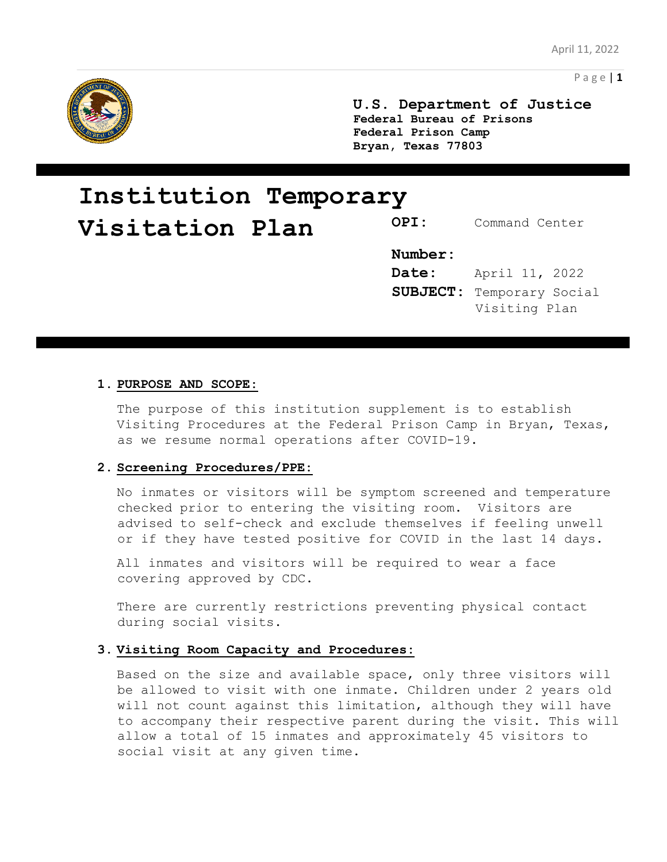

**U.S. Department of Justice Federal Bureau of Prisons Federal Prison Camp Bryan, Texas 77803**

# **Institution Temporary Visitation Plan** OPI: Command Center

# **Number:**

**Date:** April 11, 2022 **SUBJECT:** Temporary Social Visiting Plan

#### **1. PURPOSE AND SCOPE:**

The purpose of this institution supplement is to establish Visiting Procedures at the Federal Prison Camp in Bryan, Texas, as we resume normal operations after COVID-19.

#### **2. Screening Procedures/PPE:**

No inmates or visitors will be symptom screened and temperature checked prior to entering the visiting room. Visitors are advised to self-check and exclude themselves if feeling unwell or if they have tested positive for COVID in the last 14 days.

All inmates and visitors will be required to wear a face covering approved by CDC.

There are currently restrictions preventing physical contact during social visits.

# **3. Visiting Room Capacity and Procedures:**

Based on the size and available space, only three visitors will be allowed to visit with one inmate. Children under 2 years old will not count against this limitation, although they will have to accompany their respective parent during the visit. This will allow a total of 15 inmates and approximately 45 visitors to social visit at any given time.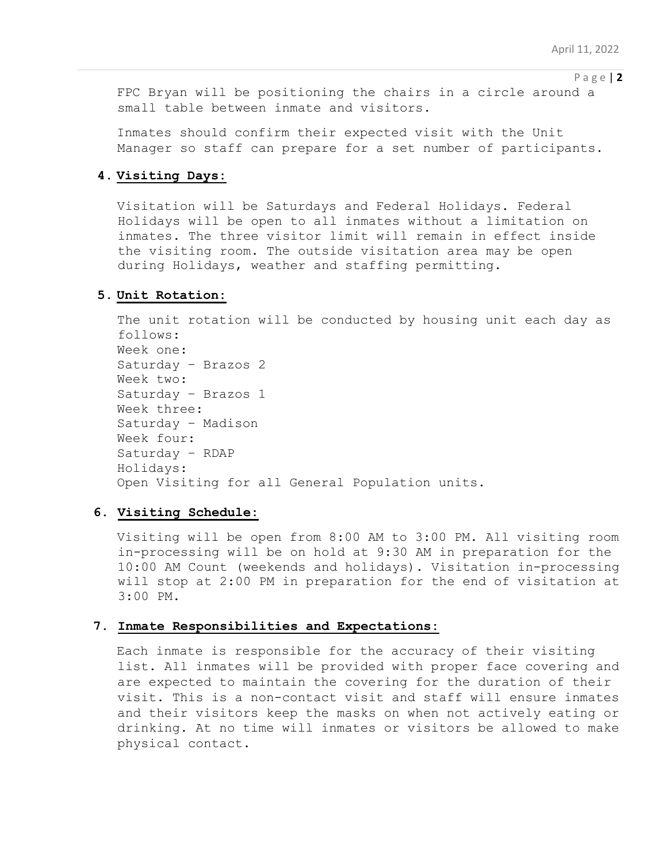P a g e | **2**

FPC Bryan will be positioning the chairs in a circle around a small table between inmate and visitors.

Inmates should confirm their expected visit with the Unit Manager so staff can prepare for a set number of participants.

#### **4. Visiting Days:**

Visitation will be Saturdays and Federal Holidays. Federal Holidays will be open to all inmates without a limitation on inmates. The three visitor limit will remain in effect inside the visiting room. The outside visitation area may be open during Holidays, weather and staffing permitting.

# **5. Unit Rotation:**

The unit rotation will be conducted by housing unit each day as follows: Week one: Saturday – Brazos 2 Week two: Saturday – Brazos 1 Week three: Saturday – Madison Week four: Saturday – RDAP Holidays: Open Visiting for all General Population units.

#### **6. Visiting Schedule:**

Visiting will be open from 8:00 AM to 3:00 PM. All visiting room in-processing will be on hold at 9:30 AM in preparation for the 10:00 AM Count (weekends and holidays). Visitation in-processing will stop at 2:00 PM in preparation for the end of visitation at 3:00 PM.

#### **7. Inmate Responsibilities and Expectations:**

Each inmate is responsible for the accuracy of their visiting list. All inmates will be provided with proper face covering and are expected to maintain the covering for the duration of their visit. This is a non-contact visit and staff will ensure inmates and their visitors keep the masks on when not actively eating or drinking. At no time will inmates or visitors be allowed to make physical contact.